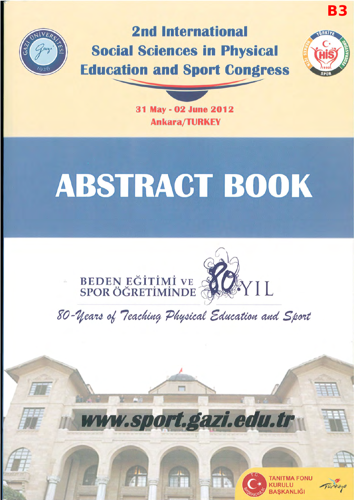

## 2nd International Social Sciences in Physical Education and Sport Congress 10 Sport Con



B3

31 May· 02 June 2012 Ankara/TURKEl'

# **ABSTRACT BOOK**





www.sport.gazi.edu.tr



**NITMA FONU** 

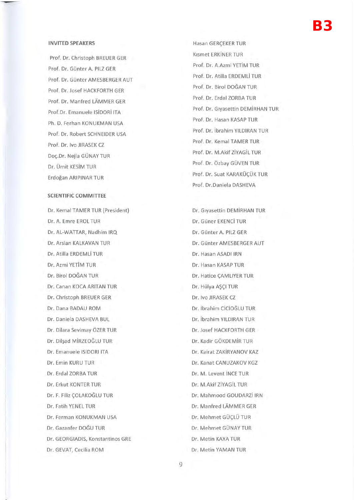### B3

#### **INVITED SPEAKERS**

Prof. Dr. Christoph BREUER GER Prof. Dr. Günter A. PILZ GER Prof. Dr. Günter AMESBERGER AUT Prof. Dr. Josef HACKFORTH GER Prof. Dr. Manfred LAMMER GER Prof. Dr. Emanuele ISiDORi ITA Ph. D. Ferhan KONUKMAN USA Prof. Dr. Robert SCHNEIDER USA Prof. Dr. Iva JIRASEK CZ Doç.Dr. Nejla GÜNAY TUR Dr. Umit KESiM TUR Erdogan ARIPINAR TUR

#### **SCIENTIFIC COMMITIEE**

Dr. Kemal TAMER TUR (President) Dr. A. Emre EROL TUR Dr. AL-WATIAR, Nadhim IRQ Dr. Arslan KALKAVAN TUR Dr. Atilla ERDEMLi TUR Dr. Azmi YETiM TUR Dr. Birol DOGAN TUR Dr. Canan KOCA ARITAN TUR Dr. Christoph BREUER GER Dr. Dana BADAU ROM Dr. Daniela DASHEVA BUL Dr. Dilara Sevimay OZER TUR Dr. Dilşad MİRZEOĞLU TUR Dr. Emanuele ISIDORI ITA Dr. Emin KURU TUR Dr. Erdal ZORBA TUR Dr. Erkut KONTER TUR Dr. F. Filiz ÇOLAKOĞLU TUR Dr. Fatih YENEL TUR Dr. Ferman KONUKMAN USA Dr. Gazanfer DOGU TUR Dr. GEORGIADIS, Konstantinos GRE Dr. GEVAT, Cecilia ROM

Hasan GERÇEKER TUR Kismet ERKiNER TUR Prof. Dr. A.Azmi YETiM TUR Prof. Dr. Atilla ERDEMLi TUR Prof. Dr. Birol DOĞAN TUR Prof. Dr. Erdal ZORBA TUR Prof. Dr. Glyasettin DEMiRHAN TUR Prof. Dr. Hasan KASAP TUR Prof. Dr. ibrahim YILDIRAN TUR Prof. Dr. Kemal TAMER TUR Prof. Dr. M.Akif ZiYAGiL TUR Prof. Dr. Ozbay GUVEN TUR Prof. Dr. Suat KARAKÜÇÜK TUR Prof. Dr.Daniela DASHEVA

Dr. Glyasettin DEMiRHAN TUR Dr. Güner EKENCİ TUR Dr. Gunter A. PILZ GER Dr. Gunter AMESBERGER AUT Dr. Hasan ASADI IRN Dr. Hasan KASAP TUR Dr. Hatice ÇAMLIYER TUR Dr. Hülya AŞÇI TUR Dr. Iva JIRASEK CZ Dr. ibrahim CiCiOGLU TUR Dr. ibrahim YILDIRAN TUR Dr. Josef HACKFORTH GER Dr. Kadir GÖKDEMİR TUR Dr. Kairat ZAKiRYANOV KAZ Dr. Kanat CANUZAKOV KGZ Dr. M . Levent iNCE TUR Dr. M.Akif ZiYAGiL TUR Dr. Mahmood GOUDARZi IRN Dr. Manfred LAMMER GER Dr. Mehmet GÜCLÜ TUR Dr. Mehmet GUNAY TUR Dr. Metin KAYA TUR Dr. Metin YAMAN TUR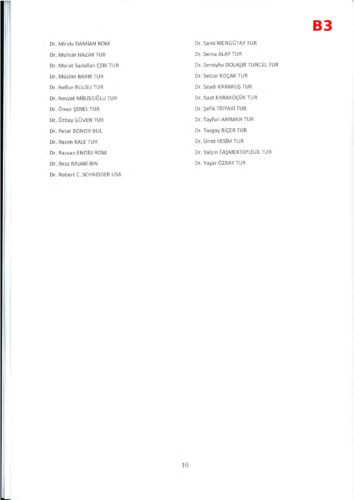- Dr. Mirela DAMiAN ROM
- Dr. Muhsin HAZAR TUR
- Dr. Murat Sadullah ÇEBİ TUR
- Dr. Müslim BAKIR TUR
- Dr. Nefise BULGU TUR
- Dr. Nevzat MiRZEOGLU TUR
- Dr. Omer SENEL TUR
- Dr. Özbay GÜVEN TUR
- Dr. Peter BONOV BUL
- Dr. Rasim KALE TUR
- Dr. Razvan ENOiu ROM
- Dr. Reza RAJABi IRN
- Dr. Robert C. SCHNEIDER USA
- Dr. Sami MENGUTAY TUR Dr. Sema ALAY TUR Dr. Semiyha DOLASIR TUNCEL TUR Dr. Settar KOÇAK TUR Dr. Seydi KARAKUS TUR Dr. Suat KARAKÜÇÜK TUR Dr. Sefik TiRYAKi TUR Dr. Tayfun AMMAN TUR Dr. Turgay BİÇER TUR Dr. Umit KESiM TUR Dr. Yalçın TAŞMEKTEPLİGİL TUR
	- Dr. Yaşar ÖZBAY TUR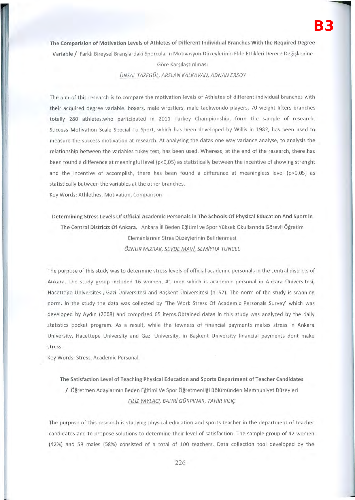#### **The Comparision of Motivation Levels of Athletes of Different Individual Branches With the Required Degree**

Variable / Farklı Bireysel Branşlardaki Sporcuların Motivasyon Düzeylerinin Elde Ettikleri Derece Değişkenine

#### Göre Karşılaştırılması

ÜNSAL TAZEGÜL, ARSLAN KALKAVAN, ADNAN ERSOY

**The** aim of this research is to compare the motivation levels of Athletes of different individual branches with their acquired degree variable. boxers, male wrestlers, male taekwondo players, 70 weight lifters branches totally 280 athletes, who paritcipated in 2011 Turkey Championship, form the sample of research. Success Motivation Scale Special To Sport, which has been developed by Willis in 1982, has been used to measure the success motivation at research. **At** analysing the datas one way variance analyse, to analysis the relationship between the variables tukey test, has been used. Whereas, at the end of the research, there has been found a difference at meaningful level (p<0,05) as statistically between the incentive of showing strenght and the incentive of accomplish, there has been found a difference at meaningless level (p>0,05) as statistically between the variables at the other branches.

Key Words: Athlethes, Motivation, Comparison

**Determining Stress Levels Of Official Academic Personals in The Schools Of Physical Education And Sport in The Central Districts Of Ankara.** Ankara iii Beden Egitimi ve Spor Vuksek Okullannda Gorevli Ogretim Elemanlarının Stres Düzeylerinin Belirlenmesi ÖZNUR MIZRAK, SEVDE MAVİ, SEMİYHA TUNCEL

The purpose of this study was to determine stress levels of official academic personals in the central districts of Ankara . The study group included 16 women, 41 men which is academic personal in Ankara Universitesi, Hacettepe Universitesi, Gazi Universitesi and Başkent Universitesi (n=57). The norm of the study is scanning norm. In the study the data was collected by 'The Work Stress Of Academic Personals Survey' which was developed by Aydin (2008) and comprised 65 items.Obtained datas in this study was analyzed by the daily statistics pocket program. As a result, while the fewness of financial payments makes stress in Ankara University, Hacettepe University and Gazi University, in Başkent University financial payments dont make stress.

Key Words: Stress, Academic Personal.

**The Satisfaction Level of Teaching Physical Education and Sports Department of Teacher Candidates**  / Ogretmen Adaylannln Beden Egitimi Ve Spor Ogretmenligi Bolumunden Memnuniyet Duzeyleri FİLİZ YAYLACI, BAHRİ GÜRPINAR, TAHİR KILIÇ

The purpose of this research is studying physical education and sports teacher in the department of teacher candidates and to propose solutions to determine their level of satisfaction. The sample group of 42 women (42%) and 58 males (58%) consisted of a total of 100 teachers. Data collection tool developed by the